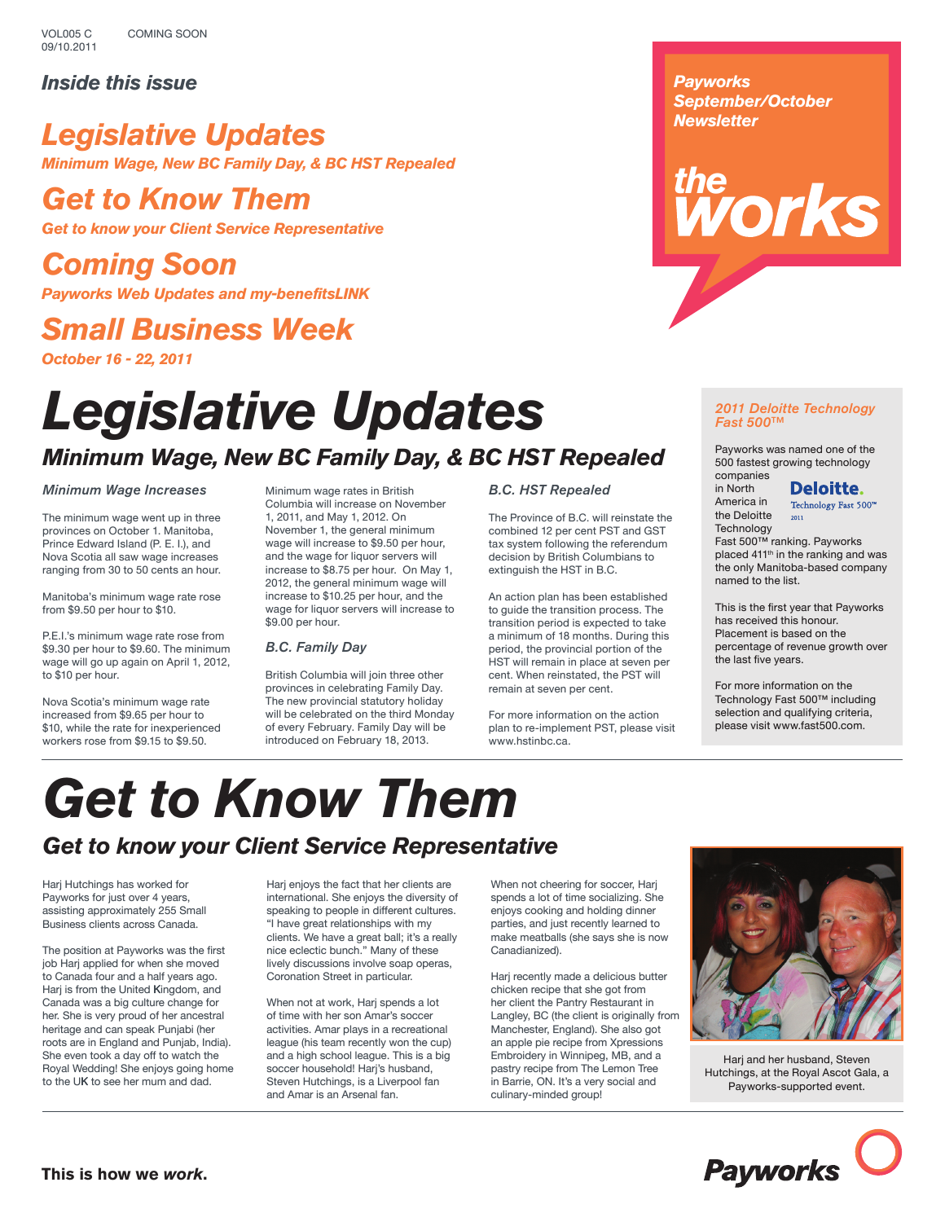### *Inside this issue*

# *Legislative Updates Minimum Wage, New BC Family Day, & BC HST Repealed*

# *Get to Know Them*

*Get to know your Client Service Representative*

# *Coming Soon*

*Payworks Web Updates and my-benefitsLINK*

# *Small Business Week*

*October 16 - 22, 2011*

# *Legislative Updates*

# *Minimum Wage, New BC Family Day, & BC HST Repealed*

#### *Minimum Wage Increases*

The minimum wage went up in three provinces on October 1. Manitoba, Prince Edward Island (P. E. I.), and Nova Scotia all saw wage increases ranging from 30 to 50 cents an hour.

Manitoba's minimum wage rate rose from \$9.50 per hour to \$10.

P.E.I.'s minimum wage rate rose from \$9.30 per hour to \$9.60. The minimum wage will go up again on April 1, 2012, to \$10 per hour.

Nova Scotia's minimum wage rate increased from \$9.65 per hour to \$10, while the rate for inexperienced workers rose from \$9.15 to \$9.50.

Minimum wage rates in British Columbia will increase on November 1, 2011, and May 1, 2012. On November 1, the general minimum wage will increase to \$9.50 per hour, and the wage for liquor servers will increase to \$8.75 per hour. On May 1, 2012, the general minimum wage will increase to \$10.25 per hour, and the wage for liquor servers will increase to \$9.00 per hour.

#### *B.C. Family Day*

British Columbia will join three other provinces in celebrating Family Day. The new provincial statutory holiday will be celebrated on the third Monday of every February. Family Day will be introduced on February 18, 2013.

### *B.C. HST Repealed*

The Province of B.C. will reinstate the combined 12 per cent PST and GST tax system following the referendum decision by British Columbians to extinguish the HST in B.C.

An action plan has been established to guide the transition process. The transition period is expected to take a minimum of 18 months. During this period, the provincial portion of the HST will remain in place at seven per cent. When reinstated, the PST will remain at seven per cent.

For more information on the action plan to re-implement PST, please visit www.hstinbc.ca.

### *Payworks September/October Newsletter*

# *the*

### *2011 Deloitte Technology Fast 500*™

Payworks was named one of the 500 fastest growing technology companies

in North Deloitte. America in Technology Fast  $500^{\rm m}$ the Deloitte **Technology** 

Fast 500™ ranking. Payworks placed 411<sup>th</sup> in the ranking and was the only Manitoba-based company named to the list.

This is the first year that Payworks has received this honour. Placement is based on the percentage of revenue growth over the last five years.

For more information on the Technology Fast 500™ including selection and qualifying criteria, please visit www.fast500.com.

# *Get to Know Them*

# *Get to know your Client Service Representative*

Harj Hutchings has worked for Payworks for just over 4 years, assisting approximately 255 Small Business clients across Canada.

The position at Payworks was the first job Harj applied for when she moved to Canada four and a half years ago. Harj is from the United Kingdom, and Canada was a big culture change for her. She is very proud of her ancestral heritage and can speak Punjabi (her roots are in England and Punjab, India). She even took a day off to watch the Royal Wedding! She enjoys going home to the UK to see her mum and dad.

Harj enjoys the fact that her clients are international. She enjoys the diversity of speaking to people in different cultures. "I have great relationships with my clients. We have a great ball; it's a really nice eclectic bunch." Many of these lively discussions involve soap operas, Coronation Street in particular.

When not at work, Harj spends a lot of time with her son Amar's soccer activities. Amar plays in a recreational league (his team recently won the cup) and a high school league. This is a big soccer household! Harj's husband, Steven Hutchings, is a Liverpool fan and Amar is an Arsenal fan.

When not cheering for soccer, Harj spends a lot of time socializing. She enjoys cooking and holding dinner parties, and just recently learned to make meatballs (she says she is now Canadianized).

Harj recently made a delicious butter chicken recipe that she got from her client the Pantry Restaurant in Langley, BC (the client is originally from Manchester, England). She also got an apple pie recipe from Xpressions Embroidery in Winnipeg, MB, and a pastry recipe from The Lemon Tree in Barrie, ON. It's a very social and culinary-minded group!



Harj and her husband, Steven Hutchings, at the Royal Ascot Gala, a Payworks-supported event.